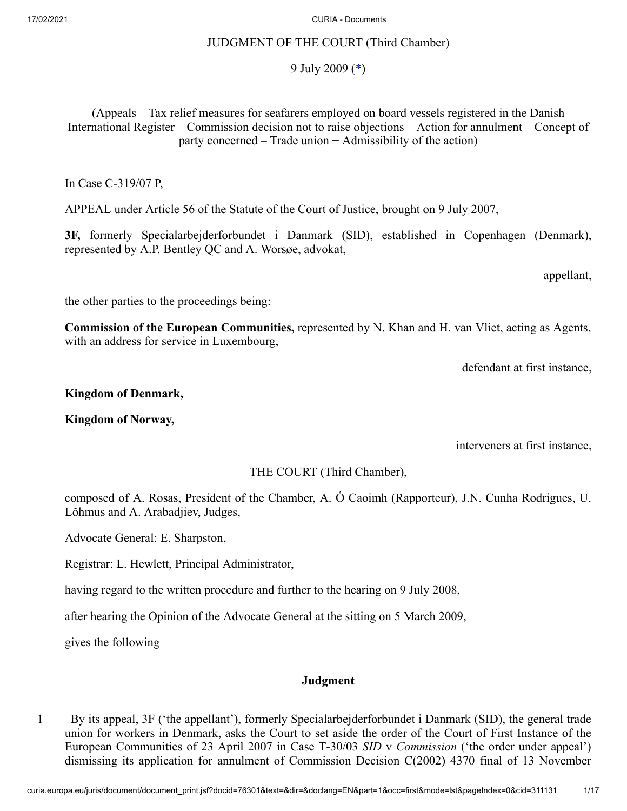## JUDGMENT OF THE COURT (Third Chamber)

# <span id="page-0-0"></span>9 July 2009  $(\triangle)$

(Appeals – Tax relief measures for seafarers employed on board vessels registered in the Danish International Register – Commission decision not to raise objections – Action for annulment – Concept of party concerned – Trade union − Admissibility of the action)

In Case C‑319/07 P,

APPEAL under Article 56 of the Statute of the Court of Justice, brought on 9 July 2007,

**3F,** formerly Specialarbejderforbundet i Danmark (SID), established in Copenhagen (Denmark), represented by A.P. Bentley QC and A. Worsøe, advokat,

appellant,

the other parties to the proceedings being:

**Commission of the European Communities,** represented by N. Khan and H. van Vliet, acting as Agents, with an address for service in Luxembourg,

defendant at first instance,

## **Kingdom of Denmark,**

**Kingdom of Norway,**

interveners at first instance,

THE COURT (Third Chamber),

composed of A. Rosas, President of the Chamber, A. Ó Caoimh (Rapporteur), J.N. Cunha Rodrigues, U. Lõhmus and A. Arabadjiev, Judges,

Advocate General: E. Sharpston,

Registrar: L. Hewlett, Principal Administrator,

having regard to the written procedure and further to the hearing on 9 July 2008,

after hearing the Opinion of the Advocate General at the sitting on 5 March 2009,

gives the following

## **Judgment**

1 By its appeal, 3F ('the appellant'), formerly Specialarbejderforbundet i Danmark (SID), the general trade union for workers in Denmark, asks the Court to set aside the order of the Court of First Instance of the European Communities of 23 April 2007 in Case T‑30/03 *SID* v *Commission* ('the order under appeal') dismissing its application for annulment of Commission Decision C(2002) 4370 final of 13 November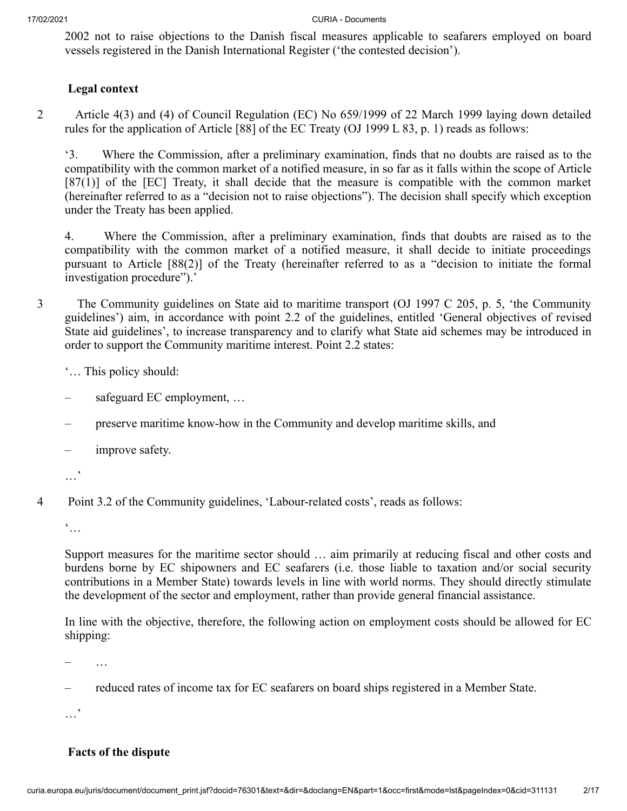2002 not to raise objections to the Danish fiscal measures applicable to seafarers employed on board vessels registered in the Danish International Register ('the contested decision').

# **Legal context**

2 Article 4(3) and (4) of Council Regulation (EC) No 659/1999 of 22 March 1999 laying down detailed rules for the application of Article [88] of the EC Treaty (OJ 1999 L 83, p. 1) reads as follows:

'3. Where the Commission, after a preliminary examination, finds that no doubts are raised as to the compatibility with the common market of a notified measure, in so far as it falls within the scope of Article [87(1)] of the [EC] Treaty, it shall decide that the measure is compatible with the common market (hereinafter referred to as a "decision not to raise objections"). The decision shall specify which exception under the Treaty has been applied.

4. Where the Commission, after a preliminary examination, finds that doubts are raised as to the compatibility with the common market of a notified measure, it shall decide to initiate proceedings pursuant to Article [88(2)] of the Treaty (hereinafter referred to as a "decision to initiate the formal investigation procedure").'

3 The Community guidelines on State aid to maritime transport (OJ 1997 C 205, p. 5, 'the Community guidelines') aim, in accordance with point 2.2 of the guidelines, entitled 'General objectives of revised State aid guidelines', to increase transparency and to clarify what State aid schemes may be introduced in order to support the Community maritime interest. Point 2.2 states:

'… This policy should:

- safeguard EC employment, …
- preserve maritime know-how in the Community and develop maritime skills, and
- improve safety.
- …'
- 4 Point 3.2 of the Community guidelines, 'Labour-related costs', reads as follows:

 $\dddot{\bullet}$ ...

Support measures for the maritime sector should … aim primarily at reducing fiscal and other costs and burdens borne by EC shipowners and EC seafarers (i.e. those liable to taxation and/or social security contributions in a Member State) towards levels in line with world norms. They should directly stimulate the development of the sector and employment, rather than provide general financial assistance.

In line with the objective, therefore, the following action on employment costs should be allowed for EC shipping:

 $\ldots$ 

– reduced rates of income tax for EC seafarers on board ships registered in a Member State.

…'

# **Facts of the dispute**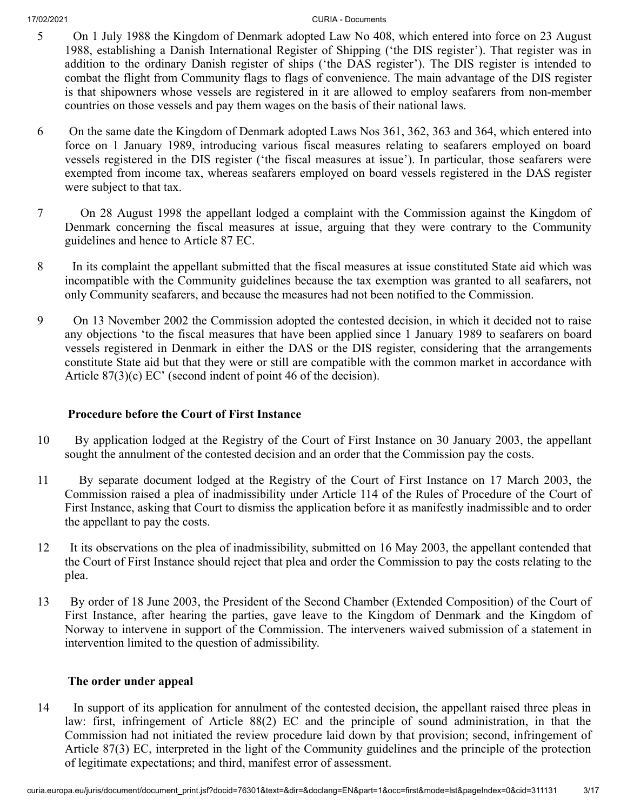- 5 On 1 July 1988 the Kingdom of Denmark adopted Law No 408, which entered into force on 23 August 1988, establishing a Danish International Register of Shipping ('the DIS register'). That register was in addition to the ordinary Danish register of ships ('the DAS register'). The DIS register is intended to combat the flight from Community flags to flags of convenience. The main advantage of the DIS register is that shipowners whose vessels are registered in it are allowed to employ seafarers from non-member countries on those vessels and pay them wages on the basis of their national laws.
- 6 On the same date the Kingdom of Denmark adopted Laws Nos 361, 362, 363 and 364, which entered into force on 1 January 1989, introducing various fiscal measures relating to seafarers employed on board vessels registered in the DIS register ('the fiscal measures at issue'). In particular, those seafarers were exempted from income tax, whereas seafarers employed on board vessels registered in the DAS register were subject to that tax.
- 7 On 28 August 1998 the appellant lodged a complaint with the Commission against the Kingdom of Denmark concerning the fiscal measures at issue, arguing that they were contrary to the Community guidelines and hence to Article 87 EC.
- 8 In its complaint the appellant submitted that the fiscal measures at issue constituted State aid which was incompatible with the Community guidelines because the tax exemption was granted to all seafarers, not only Community seafarers, and because the measures had not been notified to the Commission.
- 9 On 13 November 2002 the Commission adopted the contested decision, in which it decided not to raise any objections 'to the fiscal measures that have been applied since 1 January 1989 to seafarers on board vessels registered in Denmark in either the DAS or the DIS register, considering that the arrangements constitute State aid but that they were or still are compatible with the common market in accordance with Article 87(3)(c) EC' (second indent of point 46 of the decision).

# **Procedure before the Court of First Instance**

- 10 By application lodged at the Registry of the Court of First Instance on 30 January 2003, the appellant sought the annulment of the contested decision and an order that the Commission pay the costs.
- 11 By separate document lodged at the Registry of the Court of First Instance on 17 March 2003, the Commission raised a plea of inadmissibility under Article 114 of the Rules of Procedure of the Court of First Instance, asking that Court to dismiss the application before it as manifestly inadmissible and to order the appellant to pay the costs.
- 12 It its observations on the plea of inadmissibility, submitted on 16 May 2003, the appellant contended that the Court of First Instance should reject that plea and order the Commission to pay the costs relating to the plea.
- 13 By order of 18 June 2003, the President of the Second Chamber (Extended Composition) of the Court of First Instance, after hearing the parties, gave leave to the Kingdom of Denmark and the Kingdom of Norway to intervene in support of the Commission. The interveners waived submission of a statement in intervention limited to the question of admissibility.

## **The order under appeal**

14 In support of its application for annulment of the contested decision, the appellant raised three pleas in law: first, infringement of Article 88(2) EC and the principle of sound administration, in that the Commission had not initiated the review procedure laid down by that provision; second, infringement of Article 87(3) EC, interpreted in the light of the Community guidelines and the principle of the protection of legitimate expectations; and third, manifest error of assessment.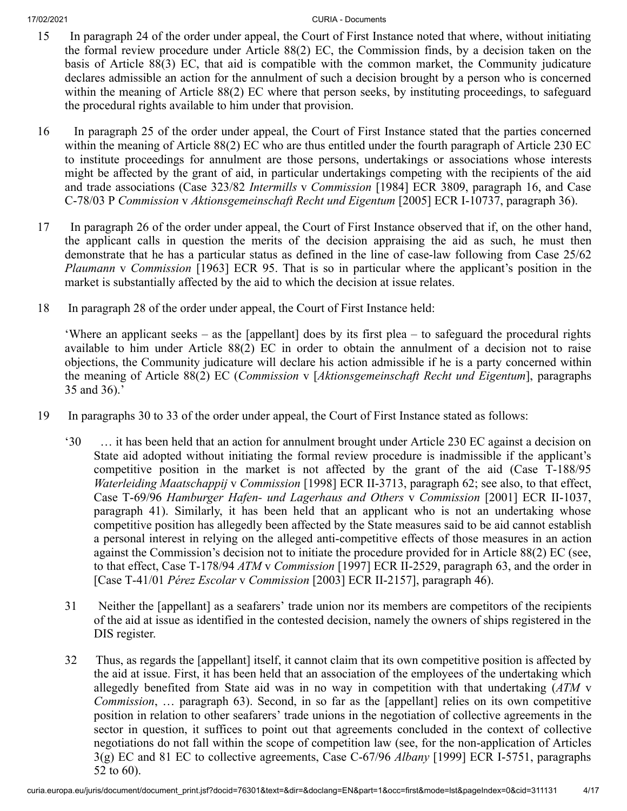- 15 In paragraph 24 of the order under appeal, the Court of First Instance noted that where, without initiating the formal review procedure under Article 88(2) EC, the Commission finds, by a decision taken on the basis of Article 88(3) EC, that aid is compatible with the common market, the Community judicature declares admissible an action for the annulment of such a decision brought by a person who is concerned within the meaning of Article 88(2) EC where that person seeks, by instituting proceedings, to safeguard the procedural rights available to him under that provision.
- 16 In paragraph 25 of the order under appeal, the Court of First Instance stated that the parties concerned within the meaning of Article 88(2) EC who are thus entitled under the fourth paragraph of Article 230 EC to institute proceedings for annulment are those persons, undertakings or associations whose interests might be affected by the grant of aid, in particular undertakings competing with the recipients of the aid and trade associations (Case 323/82 *Intermills* v *Commission* [1984] ECR 3809, paragraph 16, and Case C‑78/03 P *Commission* v *Aktionsgemeinschaft Recht und Eigentum* [2005] ECR I‑10737, paragraph 36).
- 17 In paragraph 26 of the order under appeal, the Court of First Instance observed that if, on the other hand, the applicant calls in question the merits of the decision appraising the aid as such, he must then demonstrate that he has a particular status as defined in the line of case-law following from Case 25/62 *Plaumann* v *Commission* [1963] ECR 95. That is so in particular where the applicant's position in the market is substantially affected by the aid to which the decision at issue relates.
- 18 In paragraph 28 of the order under appeal, the Court of First Instance held:

'Where an applicant seeks – as the [appellant] does by its first plea – to safeguard the procedural rights available to him under Article 88(2) EC in order to obtain the annulment of a decision not to raise objections, the Community judicature will declare his action admissible if he is a party concerned within the meaning of Article 88(2) EC (*Commission* v [*Aktionsgemeinschaft Recht und Eigentum*], paragraphs 35 and 36).'

- 19 In paragraphs 30 to 33 of the order under appeal, the Court of First Instance stated as follows:
	- '30 … it has been held that an action for annulment brought under Article 230 EC against a decision on State aid adopted without initiating the formal review procedure is inadmissible if the applicant's competitive position in the market is not affected by the grant of the aid (Case T‑188/95 *Waterleiding Maatschappij* v *Commission* [1998] ECR II‑3713, paragraph 62; see also, to that effect, Case T‑69/96 *Hamburger Hafen- und Lagerhaus and Others* v *Commission* [2001] ECR II‑1037, paragraph 41). Similarly, it has been held that an applicant who is not an undertaking whose competitive position has allegedly been affected by the State measures said to be aid cannot establish a personal interest in relying on the alleged anti-competitive effects of those measures in an action against the Commission's decision not to initiate the procedure provided for in Article 88(2) EC (see, to that effect, Case T‑178/94 *ATM* v *Commission* [1997] ECR II‑2529, paragraph 63, and the order in [Case T‑41/01 *Pérez Escolar* v *Commission* [2003] ECR II‑2157], paragraph 46).
	- 31 Neither the [appellant] as a seafarers' trade union nor its members are competitors of the recipients of the aid at issue as identified in the contested decision, namely the owners of ships registered in the DIS register.
	- 32 Thus, as regards the [appellant] itself, it cannot claim that its own competitive position is affected by the aid at issue. First, it has been held that an association of the employees of the undertaking which allegedly benefited from State aid was in no way in competition with that undertaking (*ATM* v *Commission*, … paragraph 63). Second, in so far as the [appellant] relies on its own competitive position in relation to other seafarers' trade unions in the negotiation of collective agreements in the sector in question, it suffices to point out that agreements concluded in the context of collective negotiations do not fall within the scope of competition law (see, for the non-application of Articles 3(g) EC and 81 EC to collective agreements, Case C‑67/96 *Albany* [1999] ECR I‑5751, paragraphs 52 to 60).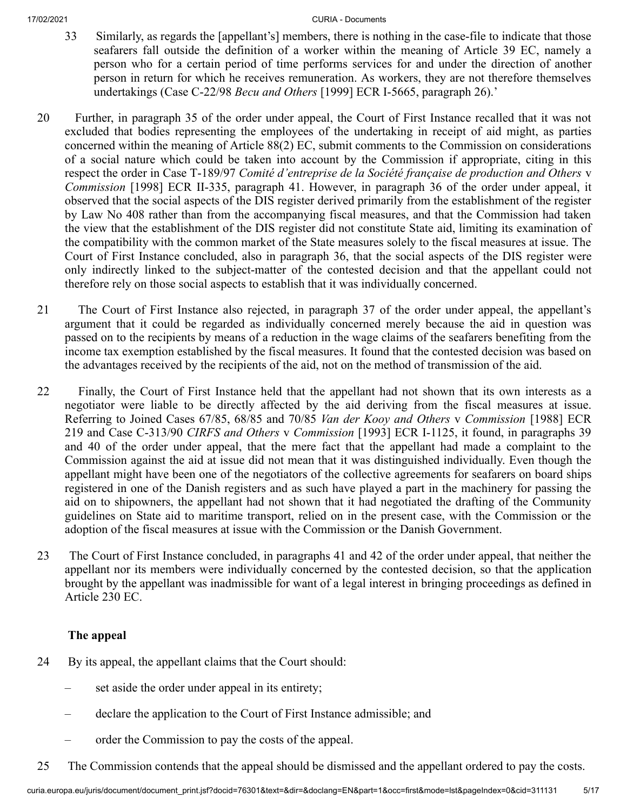- 33 Similarly, as regards the [appellant's] members, there is nothing in the case-file to indicate that those seafarers fall outside the definition of a worker within the meaning of Article 39 EC, namely a person who for a certain period of time performs services for and under the direction of another person in return for which he receives remuneration. As workers, they are not therefore themselves undertakings (Case C‑22/98 *Becu and Others* [1999] ECR I‑5665, paragraph 26).'
- 20 Further, in paragraph 35 of the order under appeal, the Court of First Instance recalled that it was not excluded that bodies representing the employees of the undertaking in receipt of aid might, as parties concerned within the meaning of Article 88(2) EC, submit comments to the Commission on considerations of a social nature which could be taken into account by the Commission if appropriate, citing in this respect the order in Case T‑189/97 *Comité d'entreprise de la Société française de production and Others* v *Commission* [1998] ECR II-335, paragraph 41. However, in paragraph 36 of the order under appeal, it observed that the social aspects of the DIS register derived primarily from the establishment of the register by Law No 408 rather than from the accompanying fiscal measures, and that the Commission had taken the view that the establishment of the DIS register did not constitute State aid, limiting its examination of the compatibility with the common market of the State measures solely to the fiscal measures at issue. The Court of First Instance concluded, also in paragraph 36, that the social aspects of the DIS register were only indirectly linked to the subject-matter of the contested decision and that the appellant could not therefore rely on those social aspects to establish that it was individually concerned.
- 21 The Court of First Instance also rejected, in paragraph 37 of the order under appeal, the appellant's argument that it could be regarded as individually concerned merely because the aid in question was passed on to the recipients by means of a reduction in the wage claims of the seafarers benefiting from the income tax exemption established by the fiscal measures. It found that the contested decision was based on the advantages received by the recipients of the aid, not on the method of transmission of the aid.
- 22 Finally, the Court of First Instance held that the appellant had not shown that its own interests as a negotiator were liable to be directly affected by the aid deriving from the fiscal measures at issue. Referring to Joined Cases 67/85, 68/85 and 70/85 *Van der Kooy and Others* v *Commission* [1988] ECR 219 and Case C‑313/90 *CIRFS and Others* v *Commission* [1993] ECR I‑1125, it found, in paragraphs 39 and 40 of the order under appeal, that the mere fact that the appellant had made a complaint to the Commission against the aid at issue did not mean that it was distinguished individually. Even though the appellant might have been one of the negotiators of the collective agreements for seafarers on board ships registered in one of the Danish registers and as such have played a part in the machinery for passing the aid on to shipowners, the appellant had not shown that it had negotiated the drafting of the Community guidelines on State aid to maritime transport, relied on in the present case, with the Commission or the adoption of the fiscal measures at issue with the Commission or the Danish Government.
- 23 The Court of First Instance concluded, in paragraphs 41 and 42 of the order under appeal, that neither the appellant nor its members were individually concerned by the contested decision, so that the application brought by the appellant was inadmissible for want of a legal interest in bringing proceedings as defined in Article 230 EC.

# **The appeal**

- 24 By its appeal, the appellant claims that the Court should:
	- set aside the order under appeal in its entirety;
	- declare the application to the Court of First Instance admissible; and
	- order the Commission to pay the costs of the appeal.
- 25 The Commission contends that the appeal should be dismissed and the appellant ordered to pay the costs.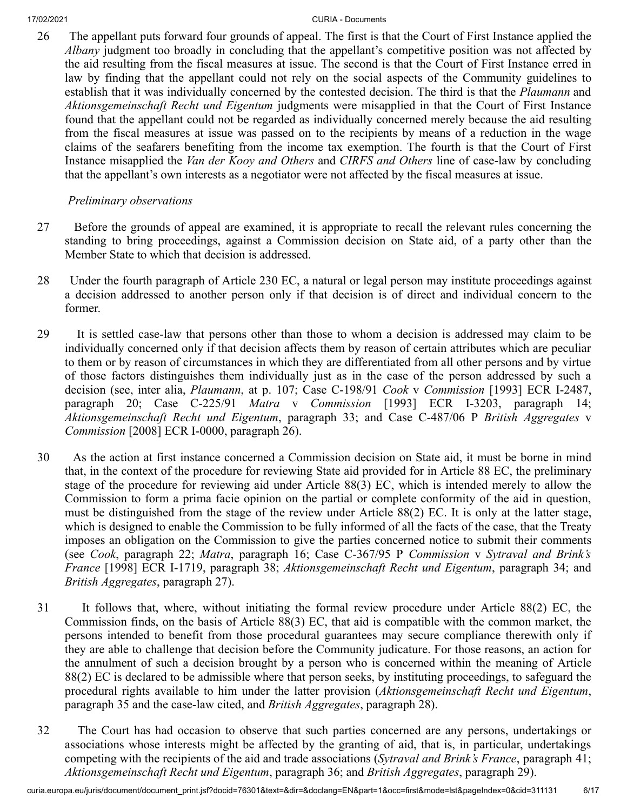26 The appellant puts forward four grounds of appeal. The first is that the Court of First Instance applied the *Albany* judgment too broadly in concluding that the appellant's competitive position was not affected by the aid resulting from the fiscal measures at issue. The second is that the Court of First Instance erred in law by finding that the appellant could not rely on the social aspects of the Community guidelines to establish that it was individually concerned by the contested decision. The third is that the *Plaumann* and *Aktionsgemeinschaft Recht und Eigentum* judgments were misapplied in that the Court of First Instance found that the appellant could not be regarded as individually concerned merely because the aid resulting from the fiscal measures at issue was passed on to the recipients by means of a reduction in the wage claims of the seafarers benefiting from the income tax exemption. The fourth is that the Court of First Instance misapplied the *Van der Kooy and Others* and *CIRFS and Others* line of case-law by concluding that the appellant's own interests as a negotiator were not affected by the fiscal measures at issue.

# *Preliminary observations*

- 27 Before the grounds of appeal are examined, it is appropriate to recall the relevant rules concerning the standing to bring proceedings, against a Commission decision on State aid, of a party other than the Member State to which that decision is addressed.
- 28 Under the fourth paragraph of Article 230 EC, a natural or legal person may institute proceedings against a decision addressed to another person only if that decision is of direct and individual concern to the former.
- 29 It is settled case-law that persons other than those to whom a decision is addressed may claim to be individually concerned only if that decision affects them by reason of certain attributes which are peculiar to them or by reason of circumstances in which they are differentiated from all other persons and by virtue of those factors distinguishes them individually just as in the case of the person addressed by such a decision (see, inter alia, *Plaumann*, at p. 107; Case C‑198/91 *Cook* v *Commission* [1993] ECR I‑2487, paragraph 20; Case C‑225/91 *Matra* v *Commission* [1993] ECR I‑3203, paragraph 14; *Aktionsgemeinschaft Recht und Eigentum*, paragraph 33; and Case C‑487/06 P *British Aggregates* v *Commission* [2008] ECR I‑0000, paragraph 26).
- 30 As the action at first instance concerned a Commission decision on State aid, it must be borne in mind that, in the context of the procedure for reviewing State aid provided for in Article 88 EC, the preliminary stage of the procedure for reviewing aid under Article 88(3) EC, which is intended merely to allow the Commission to form a prima facie opinion on the partial or complete conformity of the aid in question, must be distinguished from the stage of the review under Article 88(2) EC. It is only at the latter stage, which is designed to enable the Commission to be fully informed of all the facts of the case, that the Treaty imposes an obligation on the Commission to give the parties concerned notice to submit their comments (see *Cook*, paragraph 22; *Matra*, paragraph 16; Case C‑367/95 P *Commission* v *Sytraval and Brink's France* [1998] ECR I‑1719, paragraph 38; *Aktionsgemeinschaft Recht und Eigentum*, paragraph 34; and *British Aggregates*, paragraph 27).
- 31 It follows that, where, without initiating the formal review procedure under Article 88(2) EC, the Commission finds, on the basis of Article 88(3) EC, that aid is compatible with the common market, the persons intended to benefit from those procedural guarantees may secure compliance therewith only if they are able to challenge that decision before the Community judicature. For those reasons, an action for the annulment of such a decision brought by a person who is concerned within the meaning of Article 88(2) EC is declared to be admissible where that person seeks, by instituting proceedings, to safeguard the procedural rights available to him under the latter provision (*Aktionsgemeinschaft Recht und Eigentum*, paragraph 35 and the case-law cited, and *British Aggregates*, paragraph 28).
- 32 The Court has had occasion to observe that such parties concerned are any persons, undertakings or associations whose interests might be affected by the granting of aid, that is, in particular, undertakings competing with the recipients of the aid and trade associations (*Sytraval and Brink's France*, paragraph 41; *Aktionsgemeinschaft Recht und Eigentum*, paragraph 36; and *British Aggregates*, paragraph 29).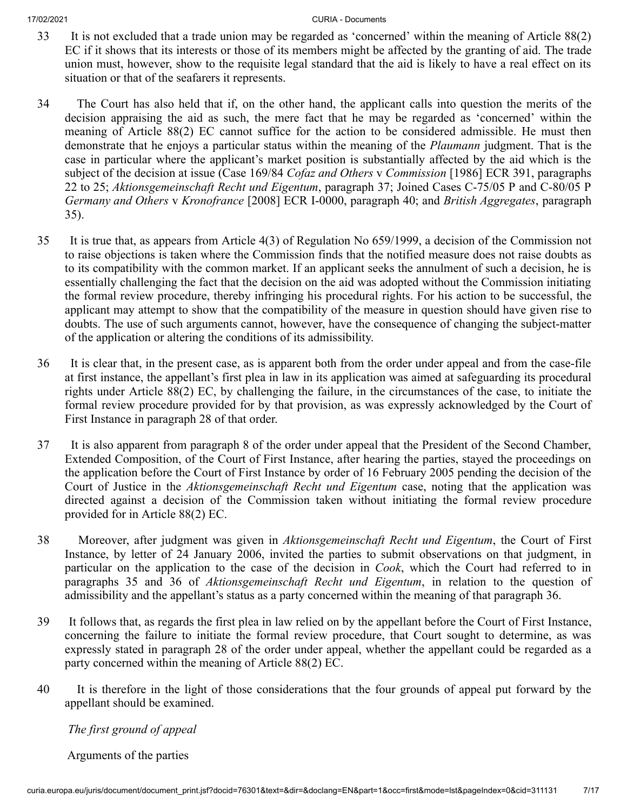- 33 It is not excluded that a trade union may be regarded as 'concerned' within the meaning of Article 88(2) EC if it shows that its interests or those of its members might be affected by the granting of aid. The trade union must, however, show to the requisite legal standard that the aid is likely to have a real effect on its situation or that of the seafarers it represents.
- 34 The Court has also held that if, on the other hand, the applicant calls into question the merits of the decision appraising the aid as such, the mere fact that he may be regarded as 'concerned' within the meaning of Article 88(2) EC cannot suffice for the action to be considered admissible. He must then demonstrate that he enjoys a particular status within the meaning of the *Plaumann* judgment. That is the case in particular where the applicant's market position is substantially affected by the aid which is the subject of the decision at issue (Case 169/84 *Cofaz and Others* v *Commission* [1986] ECR 391, paragraphs 22 to 25; *Aktionsgemeinschaft Recht und Eigentum*, paragraph 37; Joined Cases C‑75/05 P and C‑80/05 P *Germany and Others* v *Kronofrance* [2008] ECR I‑0000, paragraph 40; and *British Aggregates*, paragraph 35).
- 35 It is true that, as appears from Article 4(3) of Regulation No 659/1999, a decision of the Commission not to raise objections is taken where the Commission finds that the notified measure does not raise doubts as to its compatibility with the common market. If an applicant seeks the annulment of such a decision, he is essentially challenging the fact that the decision on the aid was adopted without the Commission initiating the formal review procedure, thereby infringing his procedural rights. For his action to be successful, the applicant may attempt to show that the compatibility of the measure in question should have given rise to doubts. The use of such arguments cannot, however, have the consequence of changing the subject-matter of the application or altering the conditions of its admissibility.
- 36 It is clear that, in the present case, as is apparent both from the order under appeal and from the case-file at first instance, the appellant's first plea in law in its application was aimed at safeguarding its procedural rights under Article 88(2) EC, by challenging the failure, in the circumstances of the case, to initiate the formal review procedure provided for by that provision, as was expressly acknowledged by the Court of First Instance in paragraph 28 of that order.
- 37 It is also apparent from paragraph 8 of the order under appeal that the President of the Second Chamber, Extended Composition, of the Court of First Instance, after hearing the parties, stayed the proceedings on the application before the Court of First Instance by order of 16 February 2005 pending the decision of the Court of Justice in the *Aktionsgemeinschaft Recht und Eigentum* case, noting that the application was directed against a decision of the Commission taken without initiating the formal review procedure provided for in Article 88(2) EC.
- 38 Moreover, after judgment was given in *Aktionsgemeinschaft Recht und Eigentum*, the Court of First Instance, by letter of 24 January 2006, invited the parties to submit observations on that judgment, in particular on the application to the case of the decision in *Cook*, which the Court had referred to in paragraphs 35 and 36 of *Aktionsgemeinschaft Recht und Eigentum*, in relation to the question of admissibility and the appellant's status as a party concerned within the meaning of that paragraph 36.
- 39 It follows that, as regards the first plea in law relied on by the appellant before the Court of First Instance, concerning the failure to initiate the formal review procedure, that Court sought to determine, as was expressly stated in paragraph 28 of the order under appeal, whether the appellant could be regarded as a party concerned within the meaning of Article 88(2) EC.
- 40 It is therefore in the light of those considerations that the four grounds of appeal put forward by the appellant should be examined.

*The first ground of appeal*

Arguments of the parties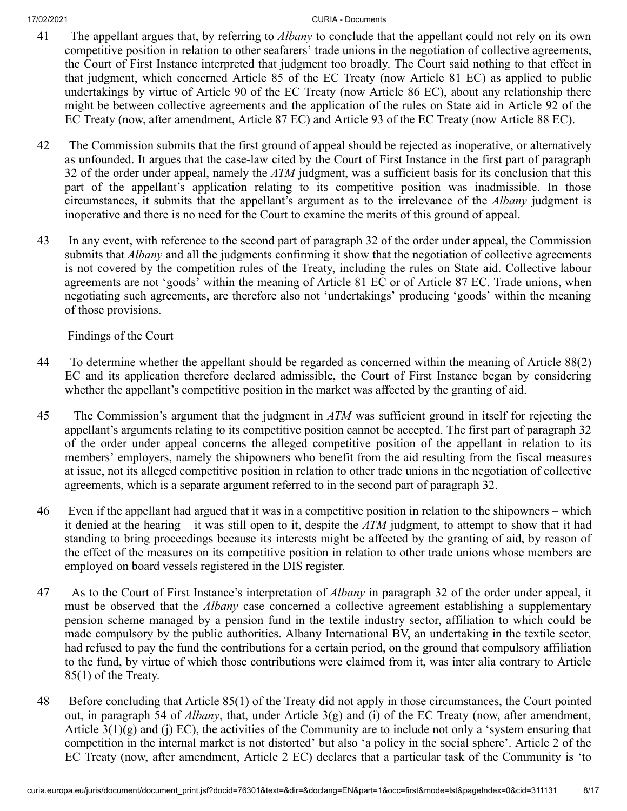- 41 The appellant argues that, by referring to *Albany* to conclude that the appellant could not rely on its own competitive position in relation to other seafarers' trade unions in the negotiation of collective agreements, the Court of First Instance interpreted that judgment too broadly. The Court said nothing to that effect in that judgment, which concerned Article 85 of the EC Treaty (now Article 81 EC) as applied to public undertakings by virtue of Article 90 of the EC Treaty (now Article 86 EC), about any relationship there might be between collective agreements and the application of the rules on State aid in Article 92 of the EC Treaty (now, after amendment, Article 87 EC) and Article 93 of the EC Treaty (now Article 88 EC).
- 42 The Commission submits that the first ground of appeal should be rejected as inoperative, or alternatively as unfounded. It argues that the case-law cited by the Court of First Instance in the first part of paragraph 32 of the order under appeal, namely the *ATM* judgment, was a sufficient basis for its conclusion that this part of the appellant's application relating to its competitive position was inadmissible. In those circumstances, it submits that the appellant's argument as to the irrelevance of the *Albany* judgment is inoperative and there is no need for the Court to examine the merits of this ground of appeal.
- 43 In any event, with reference to the second part of paragraph 32 of the order under appeal, the Commission submits that *Albany* and all the judgments confirming it show that the negotiation of collective agreements is not covered by the competition rules of the Treaty, including the rules on State aid. Collective labour agreements are not 'goods' within the meaning of Article 81 EC or of Article 87 EC. Trade unions, when negotiating such agreements, are therefore also not 'undertakings' producing 'goods' within the meaning of those provisions.

Findings of the Court

- 44 To determine whether the appellant should be regarded as concerned within the meaning of Article 88(2) EC and its application therefore declared admissible, the Court of First Instance began by considering whether the appellant's competitive position in the market was affected by the granting of aid.
- 45 The Commission's argument that the judgment in *ATM* was sufficient ground in itself for rejecting the appellant's arguments relating to its competitive position cannot be accepted. The first part of paragraph 32 of the order under appeal concerns the alleged competitive position of the appellant in relation to its members' employers, namely the shipowners who benefit from the aid resulting from the fiscal measures at issue, not its alleged competitive position in relation to other trade unions in the negotiation of collective agreements, which is a separate argument referred to in the second part of paragraph 32.
- 46 Even if the appellant had argued that it was in a competitive position in relation to the shipowners which it denied at the hearing – it was still open to it, despite the *ATM* judgment, to attempt to show that it had standing to bring proceedings because its interests might be affected by the granting of aid, by reason of the effect of the measures on its competitive position in relation to other trade unions whose members are employed on board vessels registered in the DIS register.
- 47 As to the Court of First Instance's interpretation of *Albany* in paragraph 32 of the order under appeal, it must be observed that the *Albany* case concerned a collective agreement establishing a supplementary pension scheme managed by a pension fund in the textile industry sector, affiliation to which could be made compulsory by the public authorities. Albany International BV, an undertaking in the textile sector, had refused to pay the fund the contributions for a certain period, on the ground that compulsory affiliation to the fund, by virtue of which those contributions were claimed from it, was inter alia contrary to Article 85(1) of the Treaty.
- 48 Before concluding that Article 85(1) of the Treaty did not apply in those circumstances, the Court pointed out, in paragraph 54 of *Albany*, that, under Article 3(g) and (i) of the EC Treaty (now, after amendment, Article  $3(1)(g)$  and (j) EC), the activities of the Community are to include not only a 'system ensuring that competition in the internal market is not distorted' but also 'a policy in the social sphere'. Article 2 of the EC Treaty (now, after amendment, Article 2 EC) declares that a particular task of the Community is 'to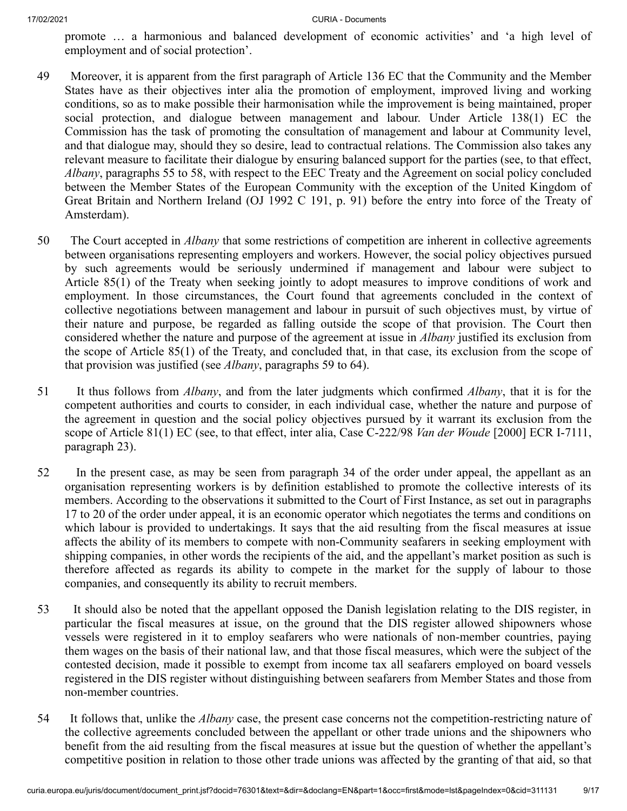promote … a harmonious and balanced development of economic activities' and 'a high level of employment and of social protection'.

- 49 Moreover, it is apparent from the first paragraph of Article 136 EC that the Community and the Member States have as their objectives inter alia the promotion of employment, improved living and working conditions, so as to make possible their harmonisation while the improvement is being maintained, proper social protection, and dialogue between management and labour. Under Article 138(1) EC the Commission has the task of promoting the consultation of management and labour at Community level, and that dialogue may, should they so desire, lead to contractual relations. The Commission also takes any relevant measure to facilitate their dialogue by ensuring balanced support for the parties (see, to that effect, *Albany*, paragraphs 55 to 58, with respect to the EEC Treaty and the Agreement on social policy concluded between the Member States of the European Community with the exception of the United Kingdom of Great Britain and Northern Ireland (OJ 1992 C 191, p. 91) before the entry into force of the Treaty of Amsterdam).
- 50 The Court accepted in *Albany* that some restrictions of competition are inherent in collective agreements between organisations representing employers and workers. However, the social policy objectives pursued by such agreements would be seriously undermined if management and labour were subject to Article 85(1) of the Treaty when seeking jointly to adopt measures to improve conditions of work and employment. In those circumstances, the Court found that agreements concluded in the context of collective negotiations between management and labour in pursuit of such objectives must, by virtue of their nature and purpose, be regarded as falling outside the scope of that provision. The Court then considered whether the nature and purpose of the agreement at issue in *Albany* justified its exclusion from the scope of Article 85(1) of the Treaty, and concluded that, in that case, its exclusion from the scope of that provision was justified (see *Albany*, paragraphs 59 to 64).
- 51 It thus follows from *Albany*, and from the later judgments which confirmed *Albany*, that it is for the competent authorities and courts to consider, in each individual case, whether the nature and purpose of the agreement in question and the social policy objectives pursued by it warrant its exclusion from the scope of Article 81(1) EC (see, to that effect, inter alia, Case C‑222/98 *Van der Woude* [2000] ECR I‑7111, paragraph 23).
- 52 In the present case, as may be seen from paragraph 34 of the order under appeal, the appellant as an organisation representing workers is by definition established to promote the collective interests of its members. According to the observations it submitted to the Court of First Instance, as set out in paragraphs 17 to 20 of the order under appeal, it is an economic operator which negotiates the terms and conditions on which labour is provided to undertakings. It says that the aid resulting from the fiscal measures at issue affects the ability of its members to compete with non-Community seafarers in seeking employment with shipping companies, in other words the recipients of the aid, and the appellant's market position as such is therefore affected as regards its ability to compete in the market for the supply of labour to those companies, and consequently its ability to recruit members.
- 53 It should also be noted that the appellant opposed the Danish legislation relating to the DIS register, in particular the fiscal measures at issue, on the ground that the DIS register allowed shipowners whose vessels were registered in it to employ seafarers who were nationals of non-member countries, paying them wages on the basis of their national law, and that those fiscal measures, which were the subject of the contested decision, made it possible to exempt from income tax all seafarers employed on board vessels registered in the DIS register without distinguishing between seafarers from Member States and those from non-member countries.
- 54 It follows that, unlike the *Albany* case, the present case concerns not the competition-restricting nature of the collective agreements concluded between the appellant or other trade unions and the shipowners who benefit from the aid resulting from the fiscal measures at issue but the question of whether the appellant's competitive position in relation to those other trade unions was affected by the granting of that aid, so that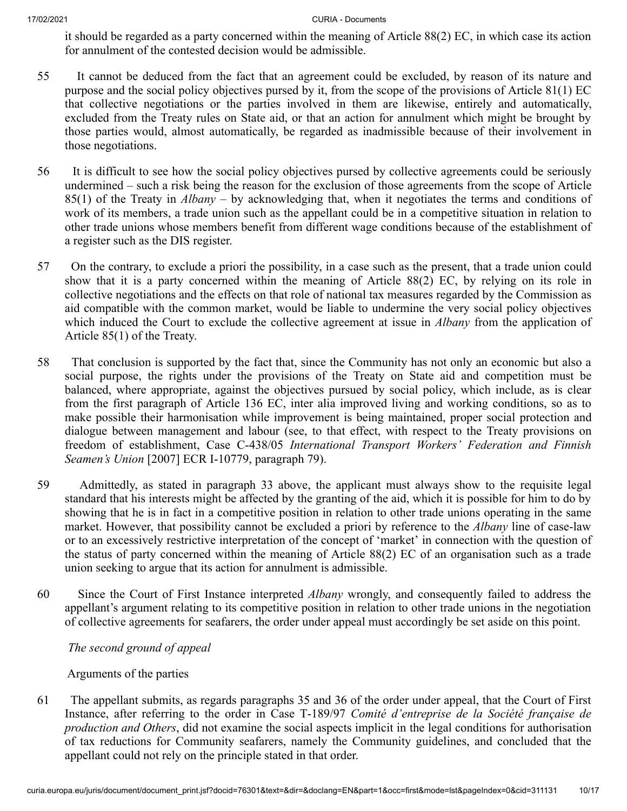it should be regarded as a party concerned within the meaning of Article 88(2) EC, in which case its action for annulment of the contested decision would be admissible.

- 55 It cannot be deduced from the fact that an agreement could be excluded, by reason of its nature and purpose and the social policy objectives pursed by it, from the scope of the provisions of Article 81(1) EC that collective negotiations or the parties involved in them are likewise, entirely and automatically, excluded from the Treaty rules on State aid, or that an action for annulment which might be brought by those parties would, almost automatically, be regarded as inadmissible because of their involvement in those negotiations.
- 56 It is difficult to see how the social policy objectives pursed by collective agreements could be seriously undermined – such a risk being the reason for the exclusion of those agreements from the scope of Article 85(1) of the Treaty in *Albany* – by acknowledging that, when it negotiates the terms and conditions of work of its members, a trade union such as the appellant could be in a competitive situation in relation to other trade unions whose members benefit from different wage conditions because of the establishment of a register such as the DIS register.
- 57 On the contrary, to exclude a priori the possibility, in a case such as the present, that a trade union could show that it is a party concerned within the meaning of Article 88(2) EC, by relying on its role in collective negotiations and the effects on that role of national tax measures regarded by the Commission as aid compatible with the common market, would be liable to undermine the very social policy objectives which induced the Court to exclude the collective agreement at issue in *Albany* from the application of Article 85(1) of the Treaty.
- 58 That conclusion is supported by the fact that, since the Community has not only an economic but also a social purpose, the rights under the provisions of the Treaty on State aid and competition must be balanced, where appropriate, against the objectives pursued by social policy, which include, as is clear from the first paragraph of Article 136 EC, inter alia improved living and working conditions, so as to make possible their harmonisation while improvement is being maintained, proper social protection and dialogue between management and labour (see, to that effect, with respect to the Treaty provisions on freedom of establishment, Case C‑438/05 *International Transport Workers' Federation and Finnish Seamen's Union* [2007] ECR I‑10779, paragraph 79).
- 59 Admittedly, as stated in paragraph 33 above, the applicant must always show to the requisite legal standard that his interests might be affected by the granting of the aid, which it is possible for him to do by showing that he is in fact in a competitive position in relation to other trade unions operating in the same market. However, that possibility cannot be excluded a priori by reference to the *Albany* line of case-law or to an excessively restrictive interpretation of the concept of 'market' in connection with the question of the status of party concerned within the meaning of Article 88(2) EC of an organisation such as a trade union seeking to argue that its action for annulment is admissible.
- 60 Since the Court of First Instance interpreted *Albany* wrongly, and consequently failed to address the appellant's argument relating to its competitive position in relation to other trade unions in the negotiation of collective agreements for seafarers, the order under appeal must accordingly be set aside on this point.

*The second ground of appeal*

Arguments of the parties

61 The appellant submits, as regards paragraphs 35 and 36 of the order under appeal, that the Court of First Instance, after referring to the order in Case T‑189/97 *Comité d'entreprise de la Société française de production and Others*, did not examine the social aspects implicit in the legal conditions for authorisation of tax reductions for Community seafarers, namely the Community guidelines, and concluded that the appellant could not rely on the principle stated in that order.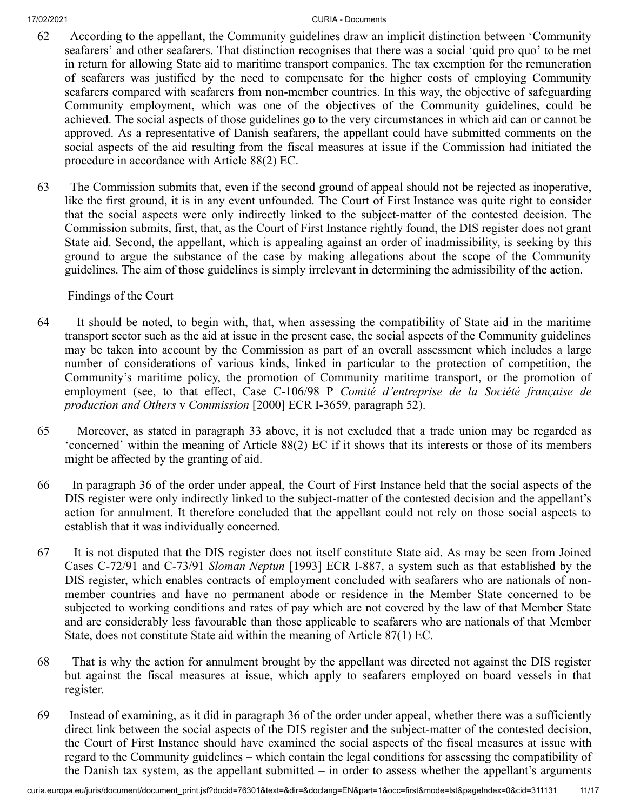- 62 According to the appellant, the Community guidelines draw an implicit distinction between 'Community seafarers' and other seafarers. That distinction recognises that there was a social 'quid pro quo' to be met in return for allowing State aid to maritime transport companies. The tax exemption for the remuneration of seafarers was justified by the need to compensate for the higher costs of employing Community seafarers compared with seafarers from non-member countries. In this way, the objective of safeguarding Community employment, which was one of the objectives of the Community guidelines, could be achieved. The social aspects of those guidelines go to the very circumstances in which aid can or cannot be approved. As a representative of Danish seafarers, the appellant could have submitted comments on the social aspects of the aid resulting from the fiscal measures at issue if the Commission had initiated the procedure in accordance with Article 88(2) EC.
- 63 The Commission submits that, even if the second ground of appeal should not be rejected as inoperative, like the first ground, it is in any event unfounded. The Court of First Instance was quite right to consider that the social aspects were only indirectly linked to the subject-matter of the contested decision. The Commission submits, first, that, as the Court of First Instance rightly found, the DIS register does not grant State aid. Second, the appellant, which is appealing against an order of inadmissibility, is seeking by this ground to argue the substance of the case by making allegations about the scope of the Community guidelines. The aim of those guidelines is simply irrelevant in determining the admissibility of the action.

## Findings of the Court

- 64 It should be noted, to begin with, that, when assessing the compatibility of State aid in the maritime transport sector such as the aid at issue in the present case, the social aspects of the Community guidelines may be taken into account by the Commission as part of an overall assessment which includes a large number of considerations of various kinds, linked in particular to the protection of competition, the Community's maritime policy, the promotion of Community maritime transport, or the promotion of employment (see, to that effect, Case C‑106/98 P *Comité d'entreprise de la Société française de production and Others* v *Commission* [2000] ECR I‑3659, paragraph 52).
- 65 Moreover, as stated in paragraph 33 above, it is not excluded that a trade union may be regarded as 'concerned' within the meaning of Article 88(2) EC if it shows that its interests or those of its members might be affected by the granting of aid.
- 66 In paragraph 36 of the order under appeal, the Court of First Instance held that the social aspects of the DIS register were only indirectly linked to the subject-matter of the contested decision and the appellant's action for annulment. It therefore concluded that the appellant could not rely on those social aspects to establish that it was individually concerned.
- 67 It is not disputed that the DIS register does not itself constitute State aid. As may be seen from Joined Cases C‑72/91 and C‑73/91 *Sloman Neptun* [1993] ECR I‑887, a system such as that established by the DIS register, which enables contracts of employment concluded with seafarers who are nationals of nonmember countries and have no permanent abode or residence in the Member State concerned to be subjected to working conditions and rates of pay which are not covered by the law of that Member State and are considerably less favourable than those applicable to seafarers who are nationals of that Member State, does not constitute State aid within the meaning of Article 87(1) EC.
- 68 That is why the action for annulment brought by the appellant was directed not against the DIS register but against the fiscal measures at issue, which apply to seafarers employed on board vessels in that register.
- 69 Instead of examining, as it did in paragraph 36 of the order under appeal, whether there was a sufficiently direct link between the social aspects of the DIS register and the subject-matter of the contested decision, the Court of First Instance should have examined the social aspects of the fiscal measures at issue with regard to the Community guidelines – which contain the legal conditions for assessing the compatibility of the Danish tax system, as the appellant submitted – in order to assess whether the appellant's arguments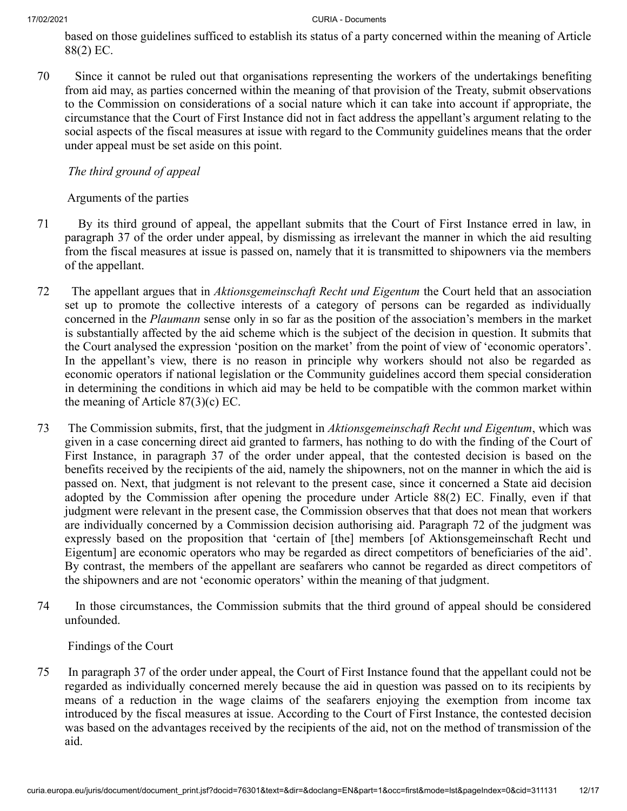based on those guidelines sufficed to establish its status of a party concerned within the meaning of Article 88(2) EC.

70 Since it cannot be ruled out that organisations representing the workers of the undertakings benefiting from aid may, as parties concerned within the meaning of that provision of the Treaty, submit observations to the Commission on considerations of a social nature which it can take into account if appropriate, the circumstance that the Court of First Instance did not in fact address the appellant's argument relating to the social aspects of the fiscal measures at issue with regard to the Community guidelines means that the order under appeal must be set aside on this point.

# *The third ground of appeal*

Arguments of the parties

- 71 By its third ground of appeal, the appellant submits that the Court of First Instance erred in law, in paragraph 37 of the order under appeal, by dismissing as irrelevant the manner in which the aid resulting from the fiscal measures at issue is passed on, namely that it is transmitted to shipowners via the members of the appellant.
- 72 The appellant argues that in *Aktionsgemeinschaft Recht und Eigentum* the Court held that an association set up to promote the collective interests of a category of persons can be regarded as individually concerned in the *Plaumann* sense only in so far as the position of the association's members in the market is substantially affected by the aid scheme which is the subject of the decision in question. It submits that the Court analysed the expression 'position on the market' from the point of view of 'economic operators'. In the appellant's view, there is no reason in principle why workers should not also be regarded as economic operators if national legislation or the Community guidelines accord them special consideration in determining the conditions in which aid may be held to be compatible with the common market within the meaning of Article 87(3)(c) EC.
- 73 The Commission submits, first, that the judgment in *Aktionsgemeinschaft Recht und Eigentum*, which was given in a case concerning direct aid granted to farmers, has nothing to do with the finding of the Court of First Instance, in paragraph 37 of the order under appeal, that the contested decision is based on the benefits received by the recipients of the aid, namely the shipowners, not on the manner in which the aid is passed on. Next, that judgment is not relevant to the present case, since it concerned a State aid decision adopted by the Commission after opening the procedure under Article 88(2) EC. Finally, even if that judgment were relevant in the present case, the Commission observes that that does not mean that workers are individually concerned by a Commission decision authorising aid. Paragraph 72 of the judgment was expressly based on the proposition that 'certain of [the] members [of Aktionsgemeinschaft Recht und Eigentum] are economic operators who may be regarded as direct competitors of beneficiaries of the aid'. By contrast, the members of the appellant are seafarers who cannot be regarded as direct competitors of the shipowners and are not 'economic operators' within the meaning of that judgment.
- 74 In those circumstances, the Commission submits that the third ground of appeal should be considered unfounded.

Findings of the Court

75 In paragraph 37 of the order under appeal, the Court of First Instance found that the appellant could not be regarded as individually concerned merely because the aid in question was passed on to its recipients by means of a reduction in the wage claims of the seafarers enjoying the exemption from income tax introduced by the fiscal measures at issue. According to the Court of First Instance, the contested decision was based on the advantages received by the recipients of the aid, not on the method of transmission of the aid.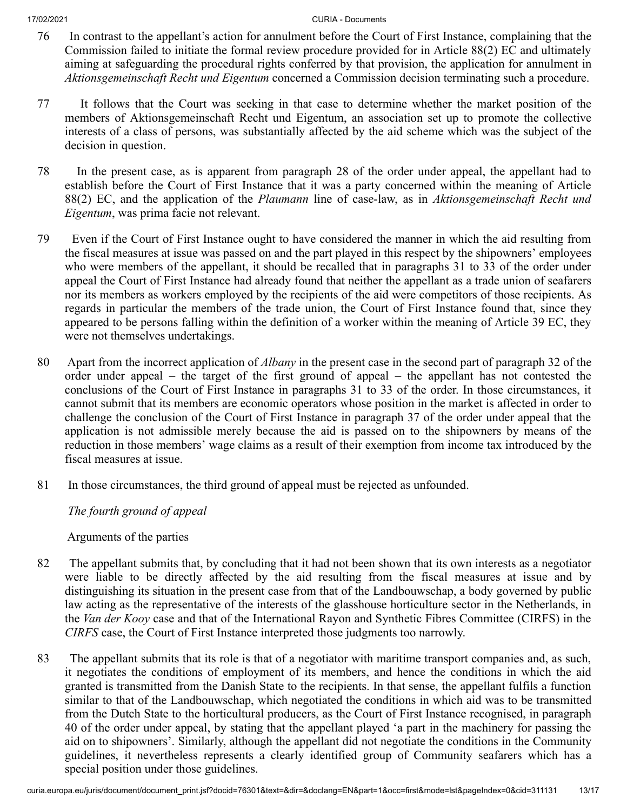- 76 In contrast to the appellant's action for annulment before the Court of First Instance, complaining that the Commission failed to initiate the formal review procedure provided for in Article 88(2) EC and ultimately aiming at safeguarding the procedural rights conferred by that provision, the application for annulment in *Aktionsgemeinschaft Recht und Eigentum* concerned a Commission decision terminating such a procedure.
- 77 It follows that the Court was seeking in that case to determine whether the market position of the members of Aktionsgemeinschaft Recht und Eigentum, an association set up to promote the collective interests of a class of persons, was substantially affected by the aid scheme which was the subject of the decision in question.
- 78 In the present case, as is apparent from paragraph 28 of the order under appeal, the appellant had to establish before the Court of First Instance that it was a party concerned within the meaning of Article 88(2) EC, and the application of the *Plaumann* line of case-law, as in *Aktionsgemeinschaft Recht und Eigentum*, was prima facie not relevant.
- 79 Even if the Court of First Instance ought to have considered the manner in which the aid resulting from the fiscal measures at issue was passed on and the part played in this respect by the shipowners' employees who were members of the appellant, it should be recalled that in paragraphs 31 to 33 of the order under appeal the Court of First Instance had already found that neither the appellant as a trade union of seafarers nor its members as workers employed by the recipients of the aid were competitors of those recipients. As regards in particular the members of the trade union, the Court of First Instance found that, since they appeared to be persons falling within the definition of a worker within the meaning of Article 39 EC, they were not themselves undertakings.
- 80 Apart from the incorrect application of *Albany* in the present case in the second part of paragraph 32 of the order under appeal – the target of the first ground of appeal – the appellant has not contested the conclusions of the Court of First Instance in paragraphs 31 to 33 of the order. In those circumstances, it cannot submit that its members are economic operators whose position in the market is affected in order to challenge the conclusion of the Court of First Instance in paragraph 37 of the order under appeal that the application is not admissible merely because the aid is passed on to the shipowners by means of the reduction in those members' wage claims as a result of their exemption from income tax introduced by the fiscal measures at issue.
- 81 In those circumstances, the third ground of appeal must be rejected as unfounded.

*The fourth ground of appeal*

Arguments of the parties

- 82 The appellant submits that, by concluding that it had not been shown that its own interests as a negotiator were liable to be directly affected by the aid resulting from the fiscal measures at issue and by distinguishing its situation in the present case from that of the Landbouwschap, a body governed by public law acting as the representative of the interests of the glasshouse horticulture sector in the Netherlands, in the *Van der Kooy* case and that of the International Rayon and Synthetic Fibres Committee (CIRFS) in the *CIRFS* case, the Court of First Instance interpreted those judgments too narrowly.
- 83 The appellant submits that its role is that of a negotiator with maritime transport companies and, as such, it negotiates the conditions of employment of its members, and hence the conditions in which the aid granted is transmitted from the Danish State to the recipients. In that sense, the appellant fulfils a function similar to that of the Landbouwschap, which negotiated the conditions in which aid was to be transmitted from the Dutch State to the horticultural producers, as the Court of First Instance recognised, in paragraph 40 of the order under appeal, by stating that the appellant played 'a part in the machinery for passing the aid on to shipowners'. Similarly, although the appellant did not negotiate the conditions in the Community guidelines, it nevertheless represents a clearly identified group of Community seafarers which has a special position under those guidelines.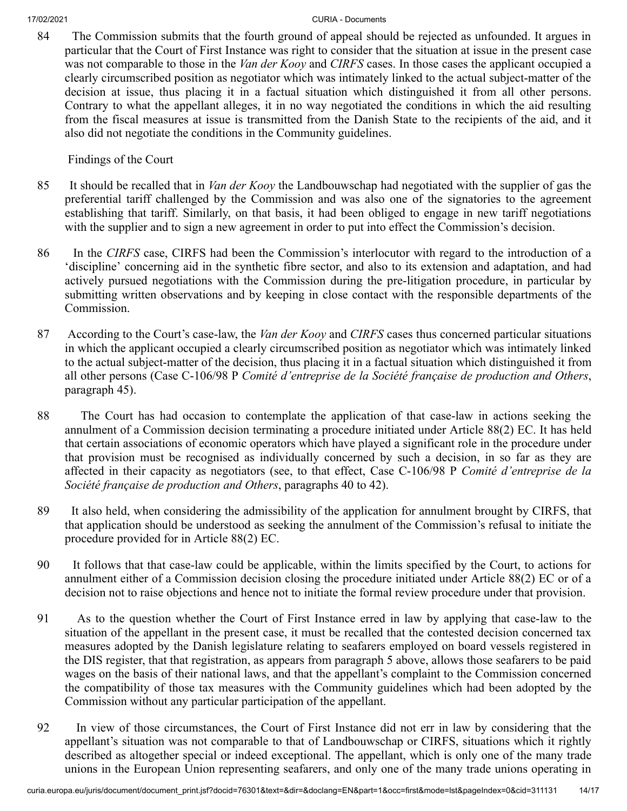84 The Commission submits that the fourth ground of appeal should be rejected as unfounded. It argues in particular that the Court of First Instance was right to consider that the situation at issue in the present case was not comparable to those in the *Van der Kooy* and *CIRFS* cases. In those cases the applicant occupied a clearly circumscribed position as negotiator which was intimately linked to the actual subject-matter of the decision at issue, thus placing it in a factual situation which distinguished it from all other persons. Contrary to what the appellant alleges, it in no way negotiated the conditions in which the aid resulting from the fiscal measures at issue is transmitted from the Danish State to the recipients of the aid, and it also did not negotiate the conditions in the Community guidelines.

Findings of the Court

- 85 It should be recalled that in *Van der Kooy* the Landbouwschap had negotiated with the supplier of gas the preferential tariff challenged by the Commission and was also one of the signatories to the agreement establishing that tariff. Similarly, on that basis, it had been obliged to engage in new tariff negotiations with the supplier and to sign a new agreement in order to put into effect the Commission's decision.
- 86 In the *CIRFS* case, CIRFS had been the Commission's interlocutor with regard to the introduction of a 'discipline' concerning aid in the synthetic fibre sector, and also to its extension and adaptation, and had actively pursued negotiations with the Commission during the pre-litigation procedure, in particular by submitting written observations and by keeping in close contact with the responsible departments of the Commission.
- 87 According to the Court's case-law, the *Van der Kooy* and *CIRFS* cases thus concerned particular situations in which the applicant occupied a clearly circumscribed position as negotiator which was intimately linked to the actual subject-matter of the decision, thus placing it in a factual situation which distinguished it from all other persons (Case C‑106/98 P *Comité d'entreprise de la Société française de production and Others*, paragraph 45).
- 88 The Court has had occasion to contemplate the application of that case-law in actions seeking the annulment of a Commission decision terminating a procedure initiated under Article 88(2) EC. It has held that certain associations of economic operators which have played a significant role in the procedure under that provision must be recognised as individually concerned by such a decision, in so far as they are affected in their capacity as negotiators (see, to that effect, Case C‑106/98 P *Comité d'entreprise de la Société française de production and Others*, paragraphs 40 to 42).
- 89 It also held, when considering the admissibility of the application for annulment brought by CIRFS, that that application should be understood as seeking the annulment of the Commission's refusal to initiate the procedure provided for in Article 88(2) EC.
- 90 It follows that that case-law could be applicable, within the limits specified by the Court, to actions for annulment either of a Commission decision closing the procedure initiated under Article 88(2) EC or of a decision not to raise objections and hence not to initiate the formal review procedure under that provision.
- 91 As to the question whether the Court of First Instance erred in law by applying that case-law to the situation of the appellant in the present case, it must be recalled that the contested decision concerned tax measures adopted by the Danish legislature relating to seafarers employed on board vessels registered in the DIS register, that that registration, as appears from paragraph 5 above, allows those seafarers to be paid wages on the basis of their national laws, and that the appellant's complaint to the Commission concerned the compatibility of those tax measures with the Community guidelines which had been adopted by the Commission without any particular participation of the appellant.
- 92 In view of those circumstances, the Court of First Instance did not err in law by considering that the appellant's situation was not comparable to that of Landbouwschap or CIRFS, situations which it rightly described as altogether special or indeed exceptional. The appellant, which is only one of the many trade unions in the European Union representing seafarers, and only one of the many trade unions operating in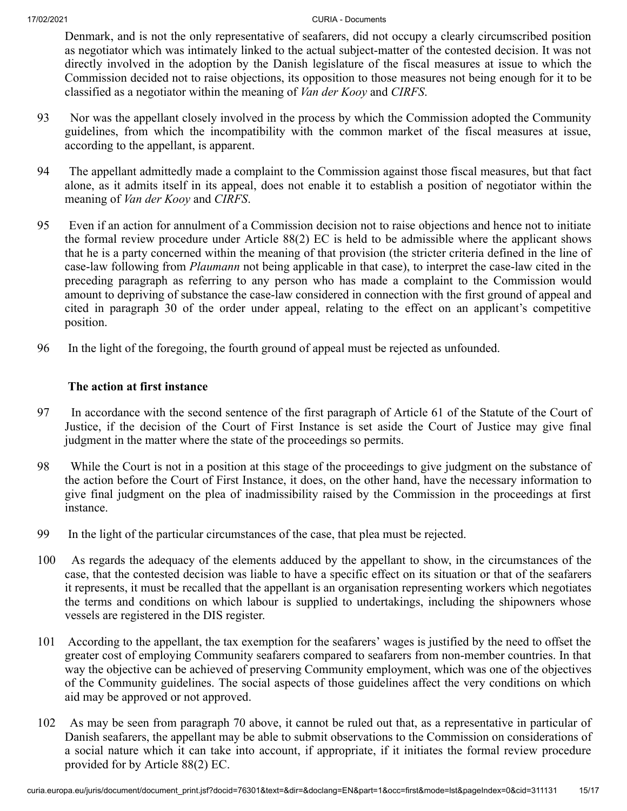Denmark, and is not the only representative of seafarers, did not occupy a clearly circumscribed position as negotiator which was intimately linked to the actual subject-matter of the contested decision. It was not directly involved in the adoption by the Danish legislature of the fiscal measures at issue to which the Commission decided not to raise objections, its opposition to those measures not being enough for it to be classified as a negotiator within the meaning of *Van der Kooy* and *CIRFS*.

- 93 Nor was the appellant closely involved in the process by which the Commission adopted the Community guidelines, from which the incompatibility with the common market of the fiscal measures at issue, according to the appellant, is apparent.
- 94 The appellant admittedly made a complaint to the Commission against those fiscal measures, but that fact alone, as it admits itself in its appeal, does not enable it to establish a position of negotiator within the meaning of *Van der Kooy* and *CIRFS*.
- 95 Even if an action for annulment of a Commission decision not to raise objections and hence not to initiate the formal review procedure under Article 88(2) EC is held to be admissible where the applicant shows that he is a party concerned within the meaning of that provision (the stricter criteria defined in the line of case-law following from *Plaumann* not being applicable in that case), to interpret the case-law cited in the preceding paragraph as referring to any person who has made a complaint to the Commission would amount to depriving of substance the case-law considered in connection with the first ground of appeal and cited in paragraph 30 of the order under appeal, relating to the effect on an applicant's competitive position.
- 96 In the light of the foregoing, the fourth ground of appeal must be rejected as unfounded.

## **The action at first instance**

- 97 In accordance with the second sentence of the first paragraph of Article 61 of the Statute of the Court of Justice, if the decision of the Court of First Instance is set aside the Court of Justice may give final judgment in the matter where the state of the proceedings so permits.
- 98 While the Court is not in a position at this stage of the proceedings to give judgment on the substance of the action before the Court of First Instance, it does, on the other hand, have the necessary information to give final judgment on the plea of inadmissibility raised by the Commission in the proceedings at first instance.
- 99 In the light of the particular circumstances of the case, that plea must be rejected.
- 100 As regards the adequacy of the elements adduced by the appellant to show, in the circumstances of the case, that the contested decision was liable to have a specific effect on its situation or that of the seafarers it represents, it must be recalled that the appellant is an organisation representing workers which negotiates the terms and conditions on which labour is supplied to undertakings, including the shipowners whose vessels are registered in the DIS register.
- 101 According to the appellant, the tax exemption for the seafarers' wages is justified by the need to offset the greater cost of employing Community seafarers compared to seafarers from non-member countries. In that way the objective can be achieved of preserving Community employment, which was one of the objectives of the Community guidelines. The social aspects of those guidelines affect the very conditions on which aid may be approved or not approved.
- 102 As may be seen from paragraph 70 above, it cannot be ruled out that, as a representative in particular of Danish seafarers, the appellant may be able to submit observations to the Commission on considerations of a social nature which it can take into account, if appropriate, if it initiates the formal review procedure provided for by Article 88(2) EC.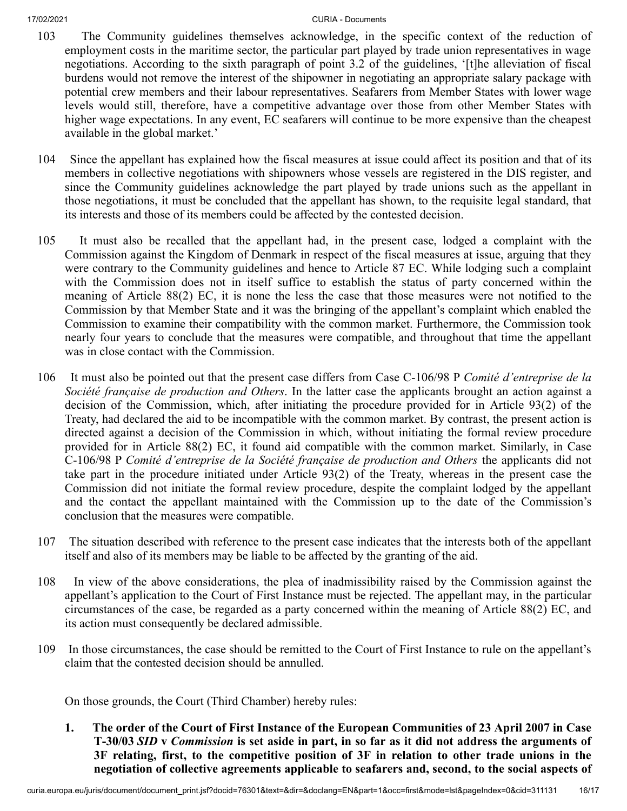- 103 The Community guidelines themselves acknowledge, in the specific context of the reduction of employment costs in the maritime sector, the particular part played by trade union representatives in wage negotiations. According to the sixth paragraph of point 3.2 of the guidelines, '[t]he alleviation of fiscal burdens would not remove the interest of the shipowner in negotiating an appropriate salary package with potential crew members and their labour representatives. Seafarers from Member States with lower wage levels would still, therefore, have a competitive advantage over those from other Member States with higher wage expectations. In any event, EC seafarers will continue to be more expensive than the cheapest available in the global market.'
- 104 Since the appellant has explained how the fiscal measures at issue could affect its position and that of its members in collective negotiations with shipowners whose vessels are registered in the DIS register, and since the Community guidelines acknowledge the part played by trade unions such as the appellant in those negotiations, it must be concluded that the appellant has shown, to the requisite legal standard, that its interests and those of its members could be affected by the contested decision.
- 105 It must also be recalled that the appellant had, in the present case, lodged a complaint with the Commission against the Kingdom of Denmark in respect of the fiscal measures at issue, arguing that they were contrary to the Community guidelines and hence to Article 87 EC. While lodging such a complaint with the Commission does not in itself suffice to establish the status of party concerned within the meaning of Article 88(2) EC, it is none the less the case that those measures were not notified to the Commission by that Member State and it was the bringing of the appellant's complaint which enabled the Commission to examine their compatibility with the common market. Furthermore, the Commission took nearly four years to conclude that the measures were compatible, and throughout that time the appellant was in close contact with the Commission.
- 106 It must also be pointed out that the present case differs from Case C‑106/98 P *Comité d'entreprise de la Société française de production and Others*. In the latter case the applicants brought an action against a decision of the Commission, which, after initiating the procedure provided for in Article 93(2) of the Treaty, had declared the aid to be incompatible with the common market. By contrast, the present action is directed against a decision of the Commission in which, without initiating the formal review procedure provided for in Article 88(2) EC, it found aid compatible with the common market. Similarly, in Case C‑106/98 P *Comité d'entreprise de la Société française de production and Others* the applicants did not take part in the procedure initiated under Article 93(2) of the Treaty, whereas in the present case the Commission did not initiate the formal review procedure, despite the complaint lodged by the appellant and the contact the appellant maintained with the Commission up to the date of the Commission's conclusion that the measures were compatible.
- 107 The situation described with reference to the present case indicates that the interests both of the appellant itself and also of its members may be liable to be affected by the granting of the aid.
- 108 In view of the above considerations, the plea of inadmissibility raised by the Commission against the appellant's application to the Court of First Instance must be rejected. The appellant may, in the particular circumstances of the case, be regarded as a party concerned within the meaning of Article 88(2) EC, and its action must consequently be declared admissible.
- 109 In those circumstances, the case should be remitted to the Court of First Instance to rule on the appellant's claim that the contested decision should be annulled.

On those grounds, the Court (Third Chamber) hereby rules:

**1. The order of the Court of First Instance of the European Communities of 23 April 2007 in Case T‑30/03** *SID* **v** *Commission* **is set aside in part, in so far as it did not address the arguments of 3F relating, first, to the competitive position of 3F in relation to other trade unions in the negotiation of collective agreements applicable to seafarers and, second, to the social aspects of**